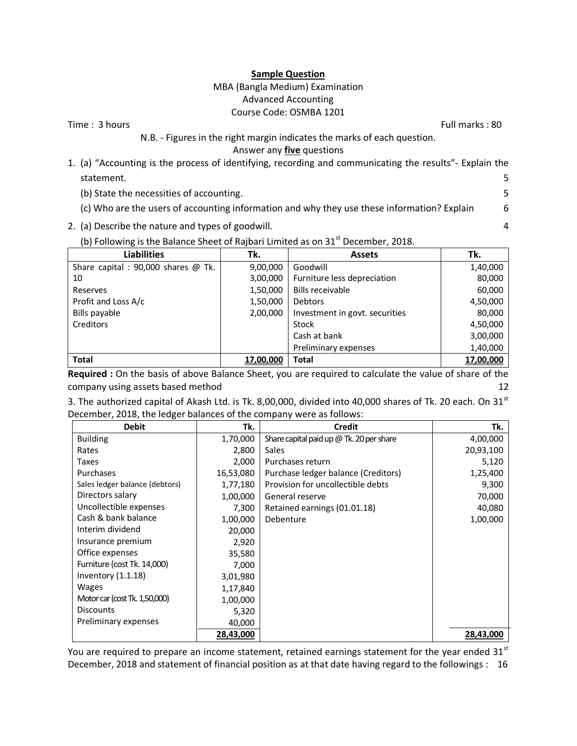#### **Sample Question**

# MBA (Bangla Medium) Examination Advanced Accounting Course Code: OSMBA 1201

Time : 3 hours Full marks : 80

# N.B. - Figures in the right margin indicates the marks of each question.

Answer any **five** questions

- 1. (a) "Accounting is the process of identifying, recording and communicating the results"- Explain the statement. 5
	- (b) State the necessities of accounting. 5
	- (c) Who are the users of accounting information and why they use these information? Explain 6
- 2. (a) Describe the nature and types of goodwill. 4

| (b) Following is the Balance Sheet of Rajbari Limited as on 31 $^{\text{st}}$ December, 2018. |
|-----------------------------------------------------------------------------------------------|
|-----------------------------------------------------------------------------------------------|

| <b>Liabilities</b>                    | Tk.              | <b>Assets</b>                  | Tk.       |
|---------------------------------------|------------------|--------------------------------|-----------|
| Share capital : 90,000 shares $@$ Tk. | 9,00,000         | Goodwill                       | 1,40,000  |
| 10                                    | 3,00,000         | Furniture less depreciation    | 80,000    |
| Reserves                              | 1,50,000         | <b>Bills receivable</b>        | 60,000    |
| Profit and Loss A/c                   | 1,50,000         | Debtors                        | 4,50,000  |
| Bills payable                         | 2,00,000         | Investment in govt. securities | 80,000    |
| Creditors                             |                  | Stock                          | 4,50,000  |
|                                       |                  | Cash at bank                   | 3,00,000  |
|                                       |                  | Preliminary expenses           | 1,40,000  |
| <b>Total</b>                          | <u>17,00,000</u> | Total                          | 17,00,000 |

**Required :** On the basis of above Balance Sheet, you are required to calculate the value of share of the company using assets based method 12

| 3. The authorized capital of Akash Ltd. is Tk. 8,00,000, divided into 40,000 shares of Tk. 20 each. On 31 $^{st}$ |  |
|-------------------------------------------------------------------------------------------------------------------|--|
| December, 2018, the ledger balances of the company were as follows:                                               |  |

| <b>Debit</b>                   | Tk.       | Credit                                     | Tk.       |
|--------------------------------|-----------|--------------------------------------------|-----------|
| <b>Building</b>                | 1,70,000  | Share capital paid up $@$ Tk. 20 per share | 4,00,000  |
| Rates                          | 2,800     | <b>Sales</b>                               | 20,93,100 |
| Taxes                          | 2,000     | Purchases return                           | 5,120     |
| Purchases                      | 16,53,080 | Purchase ledger balance (Creditors)        | 1,25,400  |
| Sales ledger balance (debtors) | 1,77,180  | Provision for uncollectible debts          | 9,300     |
| Directors salary               | 1,00,000  | General reserve                            | 70,000    |
| Uncollectible expenses         | 7,300     | Retained earnings (01.01.18)               | 40,080    |
| Cash & bank balance            | 1,00,000  | Debenture                                  | 1,00,000  |
| Interim dividend               | 20,000    |                                            |           |
| Insurance premium              | 2,920     |                                            |           |
| Office expenses                | 35,580    |                                            |           |
| Furniture (cost Tk. 14,000)    | 7,000     |                                            |           |
| Inventory $(1.1.18)$           | 3,01,980  |                                            |           |
| <b>Wages</b>                   | 1,17,840  |                                            |           |
| Motor car (cost Tk. 1,50,000)  | 1,00,000  |                                            |           |
| <b>Discounts</b>               | 5,320     |                                            |           |
| Preliminary expenses           | 40,000    |                                            |           |
|                                | 28,43,000 |                                            | 28,43,000 |

You are required to prepare an income statement, retained earnings statement for the year ended  $31^{st}$ December, 2018 and statement of financial position as at that date having regard to the followings : 16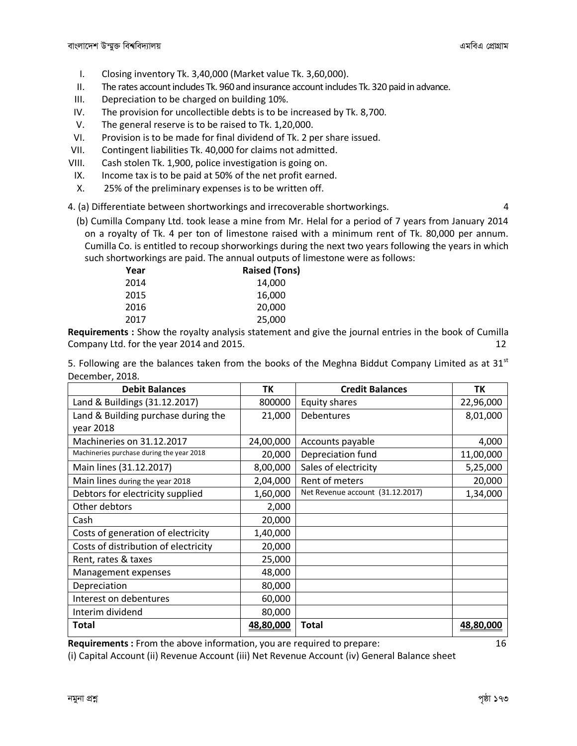- I. Closing inventory Tk. 3,40,000 (Market value Tk. 3,60,000).
- II. The rates account includes Tk. 960 and insurance account includes Tk. 320 paid in advance.
- III. Depreciation to be charged on building 10%.
- IV. The provision for uncollectible debts is to be increased by Tk. 8,700.
- V. The general reserve is to be raised to Tk. 1,20,000.
- VI. Provision is to be made for final dividend of Tk. 2 per share issued.
- VII. Contingent liabilities Tk. 40,000 for claims not admitted.
- VIII. Cash stolen Tk. 1,900, police investigation is going on.
- IX. Income tax is to be paid at 50% of the net profit earned.
- X. 25% of the preliminary expenses is to be written off.

4. (a) Differentiate between shortworkings and irrecoverable shortworkings. 4

(b) Cumilla Company Ltd. took lease a mine from Mr. Helal for a period of 7 years from January 2014 on a royalty of Tk. 4 per ton of limestone raised with a minimum rent of Tk. 80,000 per annum. Cumilla Co. is entitled to recoup shorworkings during the next two years following the years in which such shortworkings are paid. The annual outputs of limestone were as follows:

| Year | <b>Raised (Tons)</b> |
|------|----------------------|
| 2014 | 14,000               |
| 2015 | 16,000               |
| 2016 | 20,000               |
| 2017 | 25,000               |

**Requirements :** Show the royalty analysis statement and give the journal entries in the book of Cumilla Company Ltd. for the year 2014 and 2015. 12

5. Following are the balances taken from the books of the Meghna Biddut Company Limited as at 31 $^{\rm st}$ December, 2018.

| <b>Debit Balances</b>                     | TK        | <b>Credit Balances</b>           | TΚ        |
|-------------------------------------------|-----------|----------------------------------|-----------|
| Land & Buildings (31.12.2017)             | 800000    | Equity shares                    | 22,96,000 |
| Land & Building purchase during the       | 21,000    | Debentures                       | 8,01,000  |
| year 2018                                 |           |                                  |           |
| Machineries on 31.12.2017                 | 24,00,000 | Accounts payable                 | 4,000     |
| Machineries purchase during the year 2018 | 20,000    | Depreciation fund                | 11,00,000 |
| Main lines (31.12.2017)                   | 8,00,000  | Sales of electricity             | 5,25,000  |
| Main lines during the year 2018           | 2,04,000  | Rent of meters                   | 20,000    |
| Debtors for electricity supplied          | 1,60,000  | Net Revenue account (31.12.2017) | 1,34,000  |
| Other debtors                             | 2,000     |                                  |           |
| Cash                                      | 20,000    |                                  |           |
| Costs of generation of electricity        | 1,40,000  |                                  |           |
| Costs of distribution of electricity      | 20,000    |                                  |           |
| Rent, rates & taxes                       | 25,000    |                                  |           |
| Management expenses                       | 48,000    |                                  |           |
| Depreciation                              | 80,000    |                                  |           |
| Interest on debentures                    | 60,000    |                                  |           |
| Interim dividend                          | 80,000    |                                  |           |
| <b>Total</b>                              | 48,80,000 | <b>Total</b>                     | 48,80,000 |

**Requirements :** From the above information, you are required to prepare: 16

(i) Capital Account (ii) Revenue Account (iii) Net Revenue Account (iv) General Balance sheet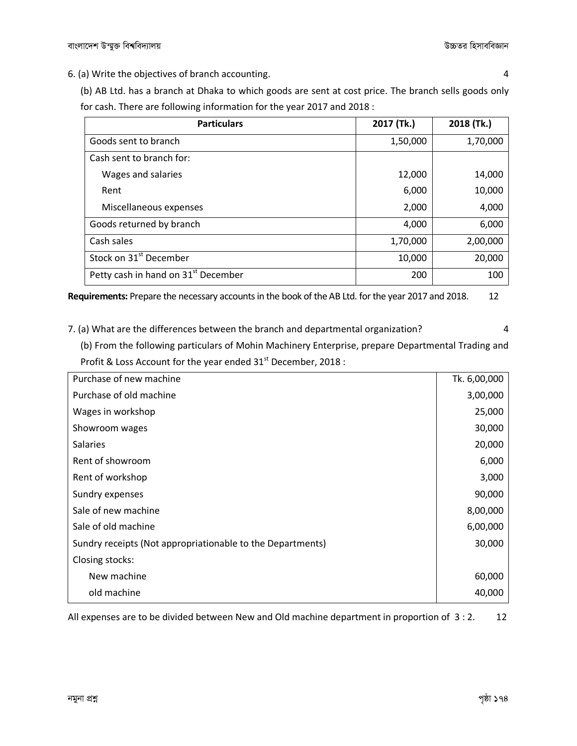6. (a) Write the objectives of branch accounting. 4

(b) AB Ltd. has a branch at Dhaka to which goods are sent at cost price. The branch sells goods only for cash. There are following information for the year 2017 and 2018 :

| <b>Particulars</b>                              | 2017 (Tk.) | 2018 (Tk.) |
|-------------------------------------------------|------------|------------|
| Goods sent to branch                            | 1,50,000   | 1,70,000   |
| Cash sent to branch for:                        |            |            |
| Wages and salaries                              | 12,000     | 14,000     |
| Rent                                            | 6,000      | 10,000     |
| Miscellaneous expenses                          | 2,000      | 4,000      |
| Goods returned by branch                        | 4,000      | 6,000      |
| Cash sales                                      | 1,70,000   | 2,00,000   |
| Stock on 31 <sup>st</sup> December              | 10,000     | 20,000     |
| Petty cash in hand on 31 <sup>st</sup> December | 200        | 100        |

**Requirements:** Prepare the necessary accounts in the book of the AB Ltd. for the year 2017 and 2018. 12

7. (a) What are the differences between the branch and departmental organization? 4

(b) From the following particulars of Mohin Machinery Enterprise, prepare Departmental Trading and Profit & Loss Account for the year ended  $31<sup>st</sup>$  December, 2018 :

| Purchase of new machine                                    | Tk. 6,00,000 |
|------------------------------------------------------------|--------------|
| Purchase of old machine                                    | 3,00,000     |
| Wages in workshop                                          | 25,000       |
| Showroom wages                                             | 30,000       |
| <b>Salaries</b>                                            | 20,000       |
| Rent of showroom                                           | 6,000        |
| Rent of workshop                                           | 3,000        |
| Sundry expenses                                            | 90,000       |
| Sale of new machine                                        | 8,00,000     |
| Sale of old machine                                        | 6,00,000     |
| Sundry receipts (Not appropriationable to the Departments) | 30,000       |
| Closing stocks:                                            |              |
| New machine                                                | 60,000       |
| old machine                                                | 40,000       |

All expenses are to be divided between New and Old machine department in proportion of 3:2. 12